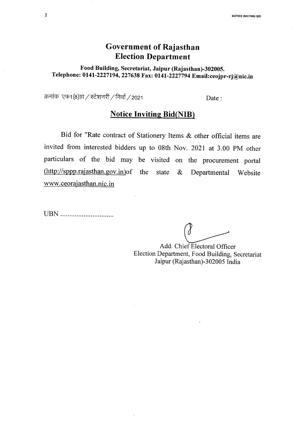## **Government of Rajasthan Election Department**

Food Building, Secretariat, Jaipur (Rajasthan)-302005. Telephone: 0141-2227194,227638 Fax: 0141-2227794Email:ceojpr-rj@nic.in

क्रमांक एफ1(8) $\scriptstyle\rm III$  / स्टेशनरी / निर्वा / 2021

Date:

## **Notice Inviting Bid(NIB)**

Bid for "Rate contract of Stationery Items & other official items are invited from interested bidders up to 08th Nov. 2021 at 3.00 PM other particulars of the bid may be visited on the procurement portal Chttp://sppp.rajasthan.gov.in)of the state & Departmental Website www.ceorajasthan.nic.in

UBN .................................

Add. Chief Electoral Officer Election Department, Food Building, Secretariat Jaipur (Rajasthan)-302005 India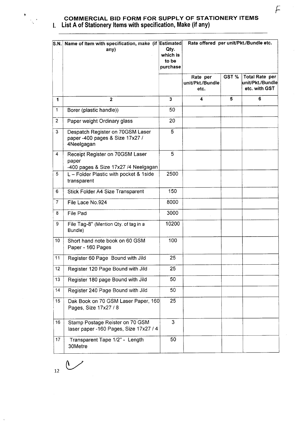

## **COMMERCIAL BID FORM FOR SUPPLY OF STATIONERY ITEMS I. List A of Stationery Items with specification, Make (if any)**

| S.N.             | Name of Item with specification, make (if Estimated<br>any)                       | Qty.<br>which is<br>to be<br>purchase | Rate offered per unit/Pkt./Bundle etc. |       |                                                            |
|------------------|-----------------------------------------------------------------------------------|---------------------------------------|----------------------------------------|-------|------------------------------------------------------------|
|                  |                                                                                   |                                       | Rate per<br>unit/Pkt./Bundle<br>etc.   | GST % | <b>Total Rate per</b><br>unit/Pkt./Bundle<br>etc. with GST |
| 1                | $\overline{2}$                                                                    | $\overline{\mathbf{3}}$               | 4                                      | 5     | 6                                                          |
| 1                | Borer (plastic handle))                                                           | 50                                    |                                        |       |                                                            |
| $\overline{2}$   | Paper weight Ordinary glass                                                       | 20                                    |                                        |       |                                                            |
| 3                | Despatch Register on 70GSM Laser<br>paper -400 pages & Size 17x27 /<br>4Neelgagan | 5                                     |                                        |       |                                                            |
| 4                | Receipt Register on 70GSM Laser<br>paper<br>-400 pages & Size 17x27 /4 Neelgagan  | 5                                     |                                        |       |                                                            |
| 5                | L - Folder Plastic with pocket & 1side<br>transparent                             | 2500                                  |                                        |       |                                                            |
| 6                | Stick Folder A4 Size Transparent                                                  | 150                                   |                                        |       |                                                            |
| $\overline{7}$   | File Lace No.924                                                                  | 8000                                  |                                        |       |                                                            |
| 8                | <b>File Pad</b>                                                                   | 3000                                  |                                        |       |                                                            |
| 9                | File Tag-8" (Mention Qty. of tag in a<br>Bundle)                                  | 10200                                 |                                        |       |                                                            |
| 10               | Short hand note book on 60 GSM<br>Paper - 160 Pages                               | 100                                   |                                        |       |                                                            |
| 11               | Register 60 Page Bound with Jild                                                  | 25                                    |                                        |       |                                                            |
| 12               | Register 120 Page Bound with Jild                                                 | 25                                    |                                        |       |                                                            |
| 13               | Register 180 page Bound with Jild                                                 | 50                                    |                                        |       |                                                            |
| 14               | Register 240 Page Bound with Jild                                                 | 50                                    |                                        |       |                                                            |
| 15 <sub>15</sub> | Dak Book on 70 GSM Laser Paper, 160<br>Pages, Size 17x27 / 8                      | 25                                    |                                        |       |                                                            |
| 16               | Stamp Postage Reister on 70 GSM<br>laser paper -160 Pages, Size 17x27 / 4         | 3                                     |                                        |       |                                                            |
| 17 <sub>2</sub>  | Transparent Tape 1/2" - Length<br>30Metre                                         | 50                                    |                                        |       |                                                            |

 $\overline{12}$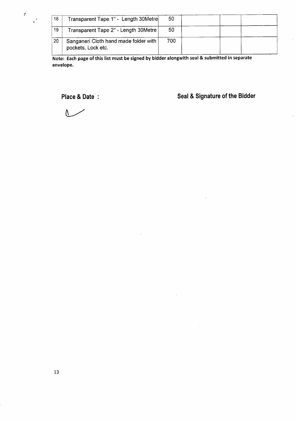| 18 | Transparent Tape 1" - Length 30Metre                        | 50  |  |  |
|----|-------------------------------------------------------------|-----|--|--|
| 19 | Transparent Tape 2" - Length 30Metre                        | 50  |  |  |
| 20 | Sanganeri Cloth hand made folder with<br>pockets, Lock etc. | 700 |  |  |

**Note: Each page of this list must be signed by bidder alongwith seal & submitted in separate envelope.**

**Place & Date Seal & Signature of the Bidder**

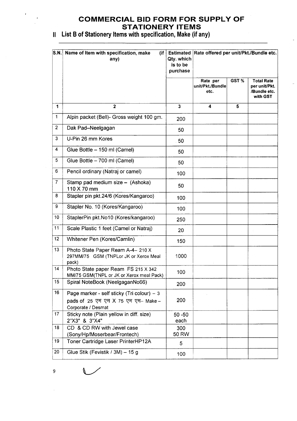## **COMMERCIAL BID FORM FOR SUPPLY OF STATIONERY ITEMS**

II List B of Stationery Items with specification, Make (if any)

| S.N.           | Name of Item with specification, make<br>(ii]                                   |                      | Estimated Rate offered per unit/Pkt./Bundle etc. |      |                               |
|----------------|---------------------------------------------------------------------------------|----------------------|--------------------------------------------------|------|-------------------------------|
|                | any)                                                                            | Qty. which           |                                                  |      |                               |
|                |                                                                                 | is to be<br>purchase |                                                  |      |                               |
|                |                                                                                 |                      |                                                  |      |                               |
|                |                                                                                 |                      | Rate per                                         | GST% | <b>Total Rate</b>             |
|                |                                                                                 |                      | unit/Pkt./Bundle<br>etc.                         |      | per unit/Pkt.<br>/Bundle etc. |
|                |                                                                                 |                      |                                                  |      | with GST                      |
| 1              | $\overline{2}$                                                                  | $\mathbf 3$          | 4                                                | 5    |                               |
| $\mathbf 1$    | Alpin packet (Bell)- Gross weight 100 gm.                                       | 200                  |                                                  |      |                               |
| $\overline{c}$ | Dak Pad-Neelgagan                                                               | 50                   |                                                  |      |                               |
| 3              | U-Pin 26 mm Kores                                                               | .50                  |                                                  |      |                               |
| 4              | Glue Bottle - 150 ml (Camel)                                                    | 50                   |                                                  |      |                               |
| 5              | Glue Bottle - 700 ml (Camel)                                                    | 50                   |                                                  |      |                               |
| 6              | Pencil ordinary (Natraj or camel)                                               | 100                  |                                                  |      |                               |
| $\overline{7}$ | Stamp pad medium size - (Ashoka)<br>110 X 70 mm                                 | 50                   |                                                  |      |                               |
| 8              | Stapler pin pkt.24/6 (Kores/Kangaroo)                                           | 100                  |                                                  |      |                               |
| 9              | Stapler No. 10 (Kores/Kangaroo)                                                 | 100                  |                                                  |      |                               |
| 10             | StaplerPin pkt.No10 (Kores/kangaroo)                                            | 250                  |                                                  |      |                               |
| 11             | Scale Plastic 1 feet (Camel or Natraj)                                          | 20                   |                                                  |      |                               |
| 12             | Whitener Pen (Kores/Camlin)                                                     | 150                  |                                                  |      |                               |
| 13             | Photo State Paper Ream A-4- 210 X<br>297MM/75 GSM (TNPLor JK or Xerox Meal      | 1000                 |                                                  |      |                               |
| 14             | pack)                                                                           |                      |                                                  |      |                               |
|                | Photo State paper Ream FS 215 X 342<br>MM/75 GSM(TNPL or JK or Xerox meal Pack) | 100                  |                                                  |      |                               |
| 15             | Spiral NoteBook (NeelgaganNo66)                                                 | 200                  |                                                  |      |                               |
| 16             | Page marker - self sticky (Tri colour) - 3                                      |                      |                                                  |      |                               |
|                | pads of 25 एम एम X 75 एम एम- Make-                                              | 200                  |                                                  |      |                               |
| 17             | Corporate / Desmat<br>Sticky note (Plain yellow in diff. size)                  |                      |                                                  |      |                               |
|                | 2"X3" & 3"X4"                                                                   | $50 - 50$<br>each    |                                                  |      |                               |
| 18             | CD & CD RW with Jewel case                                                      | 300                  |                                                  |      |                               |
|                | (Sony/Hp/Moserbear/Frontech)                                                    | 50 RW                |                                                  |      |                               |
| 19             | Toner Cartridge Laser PrinterHP12A                                              | 5                    |                                                  |      |                               |
| 20             | Glue Stik (Fevistik / 3M) - 15 g                                                | 100                  |                                                  |      |                               |

 $\overline{\phantom{a}}$ 

 $\bar{\mathcal{L}}$ 

 $\hat{\mathcal{A}}$ 

 $\bar{t}$ 

 $\frac{1}{2}$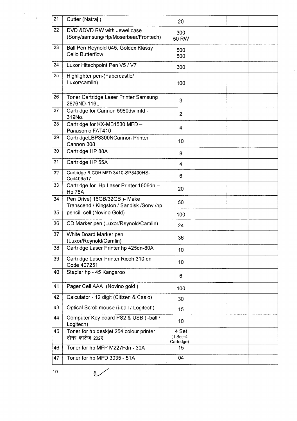| 21 | Cutter (Natraj)                                                | 20                                |  |  |
|----|----------------------------------------------------------------|-----------------------------------|--|--|
| 22 | DVD &DVD RW with Jewel case                                    | 300                               |  |  |
|    | (Sony/samsung/Hp/Moserbear/Frontech)                           | 50 RW                             |  |  |
| 23 | Ball Pen Reynold 045, Goldex Klassy                            | 500                               |  |  |
|    | <b>Cello Butterflow</b>                                        | 500                               |  |  |
| 24 | Luxor Hitechpoint Pen V5 / V7                                  | 300                               |  |  |
| 25 | Highlighter pen-(Fabercastle/                                  |                                   |  |  |
|    | Luxor/camlin)                                                  | 100                               |  |  |
| 26 | Toner Cartridge Laser Printer Samsung<br>2876ND-116L           | 3                                 |  |  |
| 27 | Cartridge for Cannon 5980dw mfd -<br>319No.                    | $\overline{2}$                    |  |  |
| 28 | Cartridge for KX-MB1530 MFD -<br>Panasonic FAT410              | 4                                 |  |  |
| 29 | CartridgeLBP3300NCannon Printer<br>Cannon 308                  | 10                                |  |  |
| 30 | Cartridge HP 88A                                               | 8                                 |  |  |
| 31 | Cartridge HP 55A                                               | 4                                 |  |  |
| 32 | Cartridge RICOH MFD 3410-SP3400HS-<br>Cod406517                | 6                                 |  |  |
| 33 | Cartridge for Hp Laser Printer 1606dn -<br><b>Hp 78A</b>       | 20                                |  |  |
| 34 | Pen Drive( 16GB/32GB)- Make                                    | 50                                |  |  |
|    | Transcend / Kingston / Sandisk /Sony /hp                       |                                   |  |  |
| 35 | pencil cell (Novino Gold)                                      | 100                               |  |  |
| 36 | CD Marker pen (Luxor/Reynold/Camlin)                           | 24                                |  |  |
| 37 | White Board Marker pen                                         | 36                                |  |  |
| 38 | (Luxor/Reynold/Camlin)<br>Cartridge Laser Printer hp 425dn-80A |                                   |  |  |
|    |                                                                | 10                                |  |  |
| 39 | Cartridge Laser Printer Ricoh 310 dn<br>Code 407251            | 10 <sub>1</sub>                   |  |  |
| 40 | Stapler hp - 45 Kangaroo                                       | 6                                 |  |  |
| 41 | Pager Cell AAA (Novino gold)                                   | 100                               |  |  |
| 42 | Calculator - 12 digit (Citizen & Casio)                        | 30                                |  |  |
| 43 | Optical Scroll mouse (i-ball / Logitech)                       | 15                                |  |  |
| 44 | Computer Key board PS2 & USB (i-ball /<br>Logitech)            | 10 <sup>1</sup>                   |  |  |
| 45 | Toner for hp deskjet 254 colour printer<br>टोनर कार्टेज 202ए   | 4 Set<br>$(1$ Set=4<br>Cartridge) |  |  |
| 46 | Toner for hp MFP M227Fdn - 30A                                 | 15                                |  |  |
| 47 | Toner for hp MFD 3035 - 51A                                    | 04                                |  |  |

 $\sim$ 

 $\hat{\mathcal{A}}$ 

 $\bar{\mathcal{A}}$ 

 $\overline{\phantom{a}}$ 

 $\diagup$ 

 $\sigma$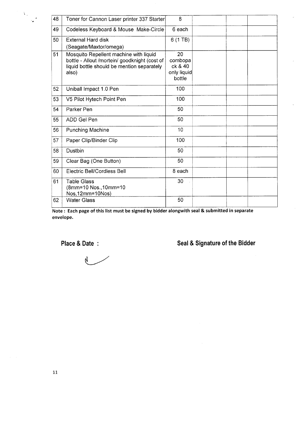| 48 | Toner for Cannon Laser printer 337 Starter                                                                                                     | 8                                                 |  |  |
|----|------------------------------------------------------------------------------------------------------------------------------------------------|---------------------------------------------------|--|--|
| 49 | Codeless Keyboard & Mouse Make-Circle                                                                                                          | 6 each                                            |  |  |
| 50 | <b>External Hard disk</b><br>(Seagate/Maxtor/omega)                                                                                            | $6(1)$ TB)                                        |  |  |
| 51 | Mosquito Repellent machine with liquid<br>bottle - Allout /mortein/ goodknight (cost of<br>liquid bottle should be mention separately<br>also) | 20<br>combopa<br>ck & 40<br>only liquid<br>bottle |  |  |
| 52 | Uniball Impact 1.0 Pen                                                                                                                         | 100                                               |  |  |
| 53 | V5 Pilot Hytech Point Pen                                                                                                                      | 100                                               |  |  |
| 54 | Parker Pen                                                                                                                                     | 50                                                |  |  |
| 55 | ADD Gel Pen                                                                                                                                    | 50                                                |  |  |
| 56 | <b>Punching Machine</b>                                                                                                                        | 10                                                |  |  |
| 57 | Paper Clip/Binder Clip                                                                                                                         | 100                                               |  |  |
| 58 | Dustbin                                                                                                                                        | 50                                                |  |  |
| 59 | Clear Bag (One Button)                                                                                                                         | 50                                                |  |  |
| 60 | Electric Bell/Cordless Bell                                                                                                                    | 8 each                                            |  |  |
| 61 | <b>Table Glass</b><br>(8mm=10 Nos., 10mm=10<br>Nos, 12mm=10Nos)                                                                                | 30                                                |  |  |
| 62 | <b>Water Glass</b>                                                                                                                             | 50                                                |  |  |

Note: Each page of this list must be signed by bidder alongwith seal & submitted in separate envelope.

 $\lambda_{\rm B}$ 

# **Place & Date : Seal & Signature of the Bidder**

 $\mathcal{N}$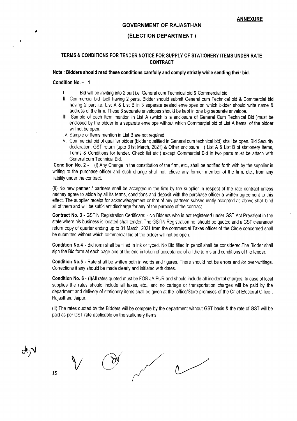#### **GOVERNMENT OF RAJASTHAN**

#### **(ELECTION DEPARTMENT)**

## **TERMS & CONDITIONS FOR TENDER NOTICE FOR SUPPLY OF STATIONERY ITEMS UNDER RATE CONTRACT**

## **Note: Bidders should read these conditions carefully and comply strictly while sending their bid.**

### **Condition No. - 1**

- Bid will be inviting into 2 part i.e. General cum Technical bid & Commercial bid.
- II. Commercial bid itself having 2 parts. Bidder should submit General cum Technical bid & Commercial bid having 2 part i.e. List A & List B in 3 separate sealed envelopes on which bidder should write name & address of the firm. These 3 separate envelopes should be kept in one big separate envelope.
- III. Sample of each Item mention in List A (which is a enclosure of General Cum Technical Bid }must be enclosed by the bidder in a separate envelope without which Commercial bid of List A Items of the bidder will not be open.
- IV. Sample of Items mention in List B are not required.
- V. Commercial bid of qualifier bidder (bidder qualified in General cum technical bid) shall be open. Bid Security declaration, GST return (upto 31st March, 2021) & Other enclosure (List A & List B of stationery Items, Terms & Conditions for tender. Check list etc.) except Commercial Bid in two parts must be attach with General cum Technical Bid.

**Condition NO.2·** (I) Any Change in the constitution of the firm, etc., shall be notified forth with by the supplier in writing to the purchase officer and such change shall not relieve any former member of the firm, etc., from any liability under the contract.

(II) No new partner / partners shall be accepted in the firm by the supplier in respect of the rate contract unless he/they agree to abide by all its terms, conditions and deposit with the purchase officer a written agreement to this effect. The supplier receipt for acknowledgement or that of any partners subsequently accepted as above shall bind all of them and will be sufficient discharge for any of the purpose of the contract.

**Contract** No.3· GSTIN Registration Certificate: - No Bidders who is not registered under GST Act Prevalent in the state where his business is located shall tender. The GSTIN Registration no. should be quoted and a GST clearance/ return copy of quarter ending up to 31 March, 2021 from the commercial Taxes officer of the Circle concerned shall be submitted without which commercial bid of the bidder will not be open.

**Condition No.4 -** Bid form shall be filled in ink or typed. No Bid filled in pencil shall be considered.The Bidder shall sign the Bid form at each page and at the end in token of acceptance of all the terms and conditions of the tender.

**Condition No.5·** Rate shall be written both in words and figures. There should not be errors and lor over-writings. Corrections if any should be made clearly and initiated with dates.

**Condition No.6·** (I)AII rates quoted must be FOR JAIPUR and should include all incidental charges. In case of local supplies the rates should include all taxes, etc., and no cartage or transportation charges will be paid by the department and delivery of stationery items shall be given at the office/Store premises of the Chief E!ectoral Officer, Rajasthan, Jaipur.

(II) The rates quoted by the Bidders will be compare by the department without GST basis & the rate of GST will be paid as per GST rate applicable on the stationery Items.

 $\begin{matrix}15\end{matrix}$ ο₹γ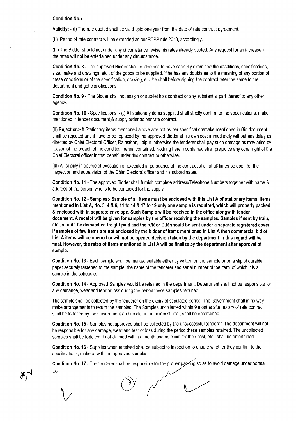#### Condition No.7-

.-

Validity: • (I) The rate quoted shall be valid upto one year from the date of rate contract agreement.

(II) Period of rate contract will be extended as per RTPP rule 2013, accordingly .

(III) The Bidder should not under any circumstance revise his rates already quoted. Any request for an increase in the rates will not be entertained under any circumstance.

Condition No.8· The approved Bidder shall be deemed to have carefully examined the conditions, specifications, size, make and drawings, etc., of the goods to be supplied. If he has any doubts as to the meaning of any portion of these conditions or of the specification, drawing, etc. he shall before signing the contract refer the same to the department and get clariofications.

Condition No.9· The Bidder shall not assign or sub-let hbis contract or any substantial part thereof to any other agency.

Condition No. 10· Specifications :- (I) All stationary items supplied shall strictly confirm to the specifications, make mentioned in tender document & supply order as per rate contract.

(II) Rejection» If Stationary items mentioned above arte not as per specification/make mentioned in Bid document shall be rejected and it have to be replaced by the approved Bidder at his own cost immediately without any delay as directed by Chief Electoral Officer, Rajasthan, Jaipur, otherwise the tenderer shall pay such damage as may arise by reason of the breach of the condition herein contained. Nothing herein contained shall prejudice any other right of the Chief Electoral officer in that behalf under this contract or otherwise.

(III) All supply in course of execution or executed in pursuance of the contract shall at all times be open for the inspection and supervision of the Chief Electoral officer and his subordinates.

Condition No. 11 • The approved Bidder shall furnish complete address/Telephone Numbers together with name & address of the person who is to be contacted for the supply.

Condition No. 12 - Samples;- Sample of all items must be enclosed with this List A of stationary items. Items mentioned in List A, No.3, 4 & 6,11 to 14 & 17 to 19 only one sample is required, which will properly packed & enclosed with in separate envelope. Such Sample will be received in the office alongwith tender document. A receipt will be given for samples by the officer receiving the samples. Samples if sent by train, etc., should be dispatched freight paid and the R/R or G.R should be sent under a separate registered cover. If samples of few items are not enclosed by the bidder of items mentioned in List A then commercial bid of List A items will be opened or will not be opened decision taken by the department in this regard will be final. However, the rates of Items mentioned in List A will be finalize by the department after approval of sample.

Condition No. 13· Each sample shall be marked suitable either by written on the sample or on a slip of durable paper securely fastened to the sample, the name of the tenderer and serial number of the item, of which it is a sample in the schedule.

Condition No. 14· Approved Samples would be retained in the department. Department shall not be responsible for any damange, wear and tear or loss during the period these samples retained.

The sample shall be collected by the tenderer on the expiry of stipulated period. The Government shall in no way make arrangements to return the samples. The Samples uncollected within 9 months after expiry of rate contract shall be forfeited by the Government and no claim for their cost, etc., shall be entertained.

Condition No. 15 • Samples not approved shall be collected by the unsuccessful tenderer. The department will not be responsible for any damage, wear and tear or loss during the period these samples retained. The uncollected samples shall be forfeited if not claimed within a month and no claim for their cost, etc., shall be entertained.

Condition No. 16 • Supplies when received shall be subject to inspection to ensure whether they confirm to the specifications, make or with the approved samples.

Condition No. 17 - The tenderer shall be responsible for the proper packing so as to avoid damage under normal 16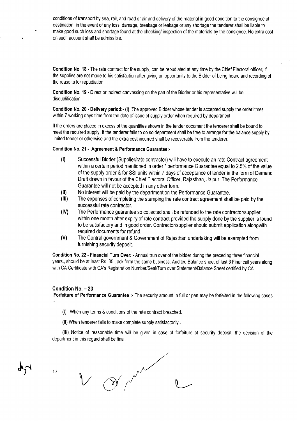conditions of transport by sea, rail, and road or air and delivery of the material in good condition to the consignee at destination. in the event of any loss, damage, breakage or leakage or any shortage the tenderer shall be liable to make good such loss and shortage found at the checking/ inspection of the materials by the consignee. No extra cost on such account shall be admissible.

Condition No. 18 - The rate contract for the supply, can be repudiated at any time by the Chief Electoral officer, if the supplies are not made to his satisfaction after giving an opportunity to the Bidder of being heard and recording of the reasons for repudiation.

Condition No. 19 - Direct or indirect canvassing on the part of the Bidder or his representative will be disqualification.

Condition No. 20 - Delivery period:- (I) The approved Bidder whose tender is accepted supply the order itmes within 7 working days time from the date of issue of supply order when required by department.

If the orders are placed in excess of the quantities shown in the tender document the tenderer shall be bound to meet the required supply. If the tenderer fails to do so department shall be free to arrange for the balance supply by limited tender or otherwise and the extra cost incurred shall be recoverable from the tenderer.

#### Condition No. 21 - Agreement & Performance Guarantee;-

- (I) Successful Bidder (Supplier/rate contractor) will have to execute an rate Contract agreement within a certain period mentioned in order \* performance Guarantee equal to 2.5% of the value of the supply order & for SSI units within 7 days of acceptance of tender in the form of Demand Draft drawn in favour of the Chief Electoral Officer, Rajasthan, Jaipur. The Performance Guarantee will not be accepted in any other form.
- (II) No interest will be paid by the department on the Performance Guarantee.
- (III) The expenses of completing the stamping the rate contract agreement shall be paid by the successful rate contractor.
- (IV) The Performance guarantee so collected shall be refunded to the rate contractor/supplier within one month after expiry of rate contract provided the supply done by the supplier is found to be satisfactory and in good order. Contractor/supplier should submit application alongwith required documents for refund.
- (V) The Central government & Government of Rajasthan undertaking will be exempted from furnishing security deposit.

Condition No. 22 - Financial Turn Over: - Annual trun over of the bidder during the preceding three financial years., should be at least Rs. 35 Lack form the same business. Audited Balance sheet of last 3 Financail years along with CA Certificate with CA's Registration Number/Seal/Turn over Statement/Balance Sheet certified by CA.

## Condition No. - 23

Forfeiture of Performance Guarantee :- The security amount in full or part may be forfeited in the following cases ţ.

- (I) When any terms & conditions of the rate contract breached.
- (II) When tenderer fails to make complete supply satisfactorily ..

(III) Notice of reasonable time will be given in case of forfeiture of security deposit. the decision of the department in this regard shall be final.

17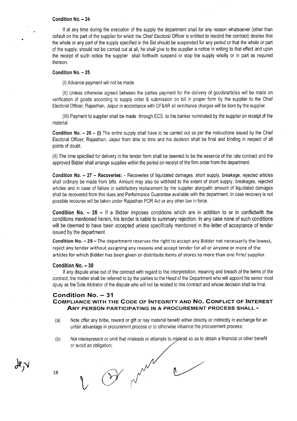#### **Condition No. - 24**

If at any time during the execution of the supply the department shall for any reason whatsoever (other than default on the part of the supplier for which the Chief Electoral Officer is entitled to rescind the contract) desires that the whole or any part of the supply specified in the Bid should be suspended for any period or that the whole or part of the supply, should not be carried out at all, he shall give to the supplier a notice in writing to that effect and upon the receipt of such notice the supplier shall forthwith suspend or stop the supply wholly or in part as required thereon.

#### **Condition No. - 25**

(I) Advance payment will not be made.

(II) Unless otherwise agreed between the parties payment for the delivery of goods/articles will be made on verification of goods according to supply order & submission on bill in proper form by the supplier to the Chief Electoral Officer, Rajasthan, Jaipur in accordance with GF&AR all remittance charges will be born by the supplier.

(III) Payment to supplier shall be made through ECS to the banker nominated by the supplier on receipt of the material.

**Condition No. - 26 - (I)** The entire supply shall have to be carried out as per the instructions issued by the Chief Electoral Officer; Rajasthan, Jaipur from time to time and his decision shall be final and binding in respect of all points of doubt.

(II) The time specified for delivery in the tender form shall be deemed to be the essence of the rate contract and the approved Bidder shall arrange supplies within the period on receipt of the firm order from the department.

**Condition No. - 27 - Recoveries: .** Recoveries of liquidated damages, short supply, breakage, rejected articles shall ordinary be made from bills. Amount may also be withheld to the extent of short supply, breakages, rejected articles and in case of failure in satisfactory replacement by the supplier alongwith amount of liquidated damages shall be recovered from this dues and Performance Guarantee available with the department. In case recovery is not possible recourse will be taken under Rajasthan PDR Act or any other law in force.

**Condition No. - 28 -** If a Bidder imposes conditions which are in addition to or in conflictwith the conditions mentioned herein, his tender is liable to summary rejection. In any case none of such conditions will be deemed to have been accepted unless specifically mentioned in the letter of acceptance of tender issued by the department.

**Condition No. - 29 -** The department reserves the right to accept any Bidder not necessarily the lowest, reject any tender without assigning any reasons and accept tender for all or anyone or more of the articles for which Bidder has been given or distribute items of stores to more than one firm/ supplier.

#### **Condition No. - 30**

If any dispute arise out of the contract with regard to the interpretation, meaning and breach of the terms of the contract, the matter shall be referred to by the parties to the Head of the Department who will appoint his senior most dputy as the Sole Abitrator of the dispute who will not be related to this contract and whose decision shall be final.

## **Condition No. - 31 COMPLIANCE WITH THE CODE OF INTEGRITY AND No. CONFLICT OF INTEREST ANY PERSON PARTICIPATING IN A PROCUREMENT PROCESS SHALL -**

- (a) Note offer any bribe, reward or gift or nay material benefit either directly or indirectly in exchange for an unfair advantage in procuremrnt process or to otherwise infuence the procurement process;
- (b) Not misrepresent or omit that misleads or attampts to mislead so as to obtain a financial or other benefit or avoid an obligation;

ぷい

18

Or man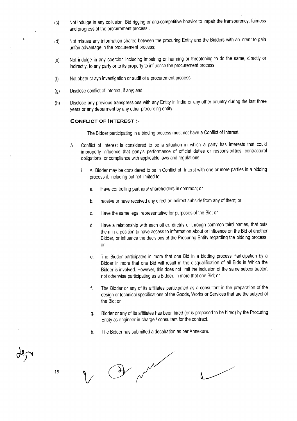- (c) Not indulge in any collusion, Bid rigging or anti-competitive bhavior to impair the transparency, faimess and progress of the procurement process;.
- (d) Not misuse any information shared between the procuring Entity and the Bidders with an intent to gain unfair advantage in the procurement process;
- (e) Not indulge in any coercion including impairing or harming or threatening to do the same, directly or indirectly, to any party or to its property to influence the procurement process;
- (f) Not obstruct ayn investigation or audit of a procurement process;
- (g) Disclose conflict of interest, if any; and
- (h) Disclose any previous transgressions with any Entity in India or any other country during the last three years or any debarment by any other procureing entity.

### **CONFLICT OF INTEREST:-**

The Bidder participating in a bidding process must not have a Conflict of Interest.

- A Conflict of Interest is considered to be a situation in which a party has interests that could improperly influence that party's performance of official duties or responsibilities, contractural obligations, or compliance with applicable laws and regulations.
	- A Bidder may be considered to be in Conflict of Interst with one or more parties in a bidding  $\mathbf{i}$ process if, including but not limited to:
		- a. Have controlling partners/ shareholders in common; or
		- b. receive or have received any direct or indirect subsidy from any of them; or
		- c. Have the same legal representative for purposes of the Bid; or
		- d. Have a relationship with each other, dirctrly or through common third parties, that puts them in a position to have access to information about or influence on the Bid of another Bidder, or influence the decisions of the Procuring Entity regarding the bidding process; or
		- e. The Bidder participates in more that one Bid in a bidding process Participation by a Bidder in more that one Bid will result in the disqualification of all Bids in Which the Bidder is involved. However, this does not limit the inclusion of the same subcontractor, not otherwise participating as a Bidder, in more that one Bid; or
		- f. The Bidder or any of its affiliates participated as a consultant in the preparation of the design or technical specifications of the Goods, Works or Services that are the subject of the Bid; or
		- g. Bidder or any of its affiliates has been hired (or is proposed to be hired) by the Procuring Entity as engineer-in-charge / consultant for the contract.
		- h. The Bidder has submitted a decalration as per Annexure.

De pour

19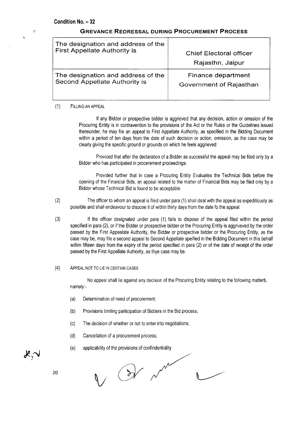X

## **GREVANCE REDRESSAL DURING PROCUREMENT PROCESS**

| The designation and address of the  | <b>Chief Electoral officer</b> |
|-------------------------------------|--------------------------------|
| <b>First Appellate Authority is</b> | Rajasthn, Jaipur               |
| The designation and address of the  | Finance department             |
| Second Appellate Authority is       | Government of Rajasthan        |

(1) FILLING AN APPEAL

If any Bidder or prospective bidder is aggrieved that any decision, action or omssion of the Procuring Entity is in contravention to the provisions of the Act or the Rules or the Guidelines issued thereunder, he may file an appeal to First Appellate Authority, as specified in the Bidding Document within a period of ten days from the date of such decision or action, omission, as the case may be clearly giving the specific ground or grounds on which he feels aggrieved:

Proviced that after the declaration of a Bidder as successful the appeal may be filed only by a Bidder who has participated in procerement proceedings:

Provided further that in case a Procuring Entity Evaluates the Technical Bids before the opening of the Financial Bids, an appeal related to the matter of Financial Bids may be filed only by a Bidder whose Technical Bid is found to be acceptable.

- (2) The officer to whom an appeal is filed under para (1) shall deal with the appeal as expeditiously as possible and shall endeavour to dispose it of within thirty days from the date fo the appeal.
- (3) If the officer designated under para (1) fails to dispose of the appeal filed within the period specified in para (2), or if the Bidder or prospective bidder or the Procuring Entity is aggriveved by the order passed by the First Appealate Authority, the Bidder or prospective bidder or the Procuring Entity, as the case may be, may file a second appeal to Second Appellate speified in the Bidding Document in this behalf within fifteen days from the expiry of the period specified in para (2) or of the date of receipt of the order passed by the First Appellate Authority, as thye case may be.

### (4) ApPEAL NOTTO LIE IN CERTAINCASES

No appeal shall lie against any decision of the Procuring Entity relating to the following matters, namely:-

- (a) Determination of need of procurement;
- (b) Provisions limiting participation of Bidders in the Bid process;
- (c) The decision of whether or not to enter into negotiations;
- (d) Cancellation of a procurement process;
- (e) applicability of the provisions of confindentiality

Or me

 $\mathcal{K}$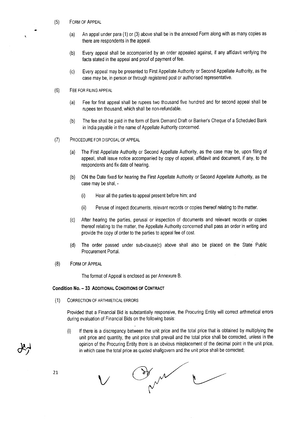- (5) FORM OF ApPEAL
	- (a) An appal under para (1) or (3) above shall be in the annexed Form along with as many copies as there are respondents in the appeal.
	- (b) Every appeal shall be accompanied by an order appealed against, if any affidavit verifying the facts stated in the appeal and proof of payment of fee.
	- (c) Every appeal may be presented to First Appellate Authority or Second Appellate Authority, as the case may be, in person or through registered post or authorised representative.
- (6) FEE FOR FILINGAPPEAL
	- (a) Fee for first appeal shall be rupees two thousand five hundred and for second appeal shall be rupees ten thousand, which shall be non-refundable.
	- (b) The fee shall be paid in the form of Bank Demand Draft or Banker's Cheque of a Scheduled Bank in India payable in the name of Appellate Authority concerned.
- (7) PROCEDURE FOR DISPOSALOF APPEAL
	- (a) The First Appellate Authority or Second Appellate Authority, as the case may be, upon filing of appeal, shall issue notice accompanied by copy of appeal, affidavit and document, if any, to the respondents and fix date of hearing.
	- (b) ON the Date fixed for hearing the First Appellate Authority or Second Appellate Authority, as the case may be shal, -
		- (i) Hear all the parties to appeal present before him; and
		- (ii) Peruse of inspect documents, relevant records or copies thereof relating to the matter.
	- (c) After hearing the parties, perusal or inspection of documents and relevant records or copies thereof relating to the matter, the Appellate Authority concerned shall pass an order in writing and provide the copy of order to the parties to appeal fee of cost.
	- (d) The order passed under sub-clause(c) above shall also be placed on the State Public Procurement Portal.
- (8) FORM OF ApPEAL

The format of Appeal is enclosed as per Annexure B.

### **Condition No. - 33 ADDITIONAL CONDITIONSOF CONTRACT**

(1) CORRECTION OF ARTHMETICALERRORS

Provided that a Financial Bid is substantially responsive, the Procuring Entity will correct arthmetical errors during evaluation of Financial Bids on the following basis:

(i) If there is a discrepancy between the unit price and the total price that is obtained by multiplying the unit price and quantity, the unit price shall prevail and the total price shall be corrected, unless in the opinion of the Procuring Entity there is an obvious misplacement of the decimal point in the unit price, in which case the total price as quoted shallqovern and the unit price shall be corrected;

By m  $\bigvee$ 

21